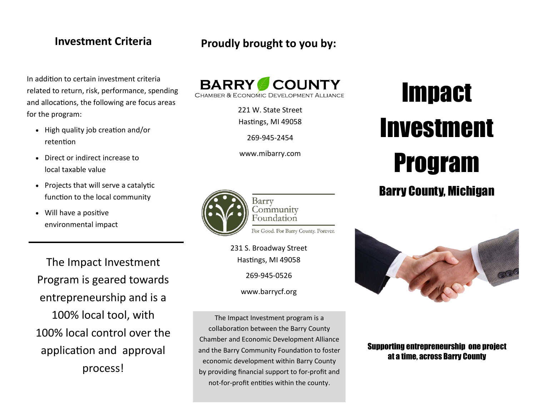In addition to certain investment criteria related to return, risk, performance, spending and allocations, the following are focus areas for the program:

- High quality job creation and/or retention
- Direct or indirect increase to local taxable value
- Projects that will serve a catalytic function to the local community
- Will have a positive environmental impact

The Impact Investment Program is geared towards entrepreneurship and is a 100% local tool, with 100% local control over the application and approval process!

# **Investment Criteria Proudly brought to you by:**



221 W. State Street Hastings, MI 49058

269-945-2454

www.mibarry.com



Barry Community Foundation For Good. For Barry County. Forever.

231 S. Broadway Street

Hastings, MI 49058

269-945-0526

www.barrycf.org

The Impact Investment program is a collaboration between the Barry County Chamber and Economic Development Alliance and the Barry Community Foundation to foster economic development within Barry County by providing financial support to for-profit and not-for-profit entities within the county.

# **Impact** Investment Program

# Barry County, Michigan



# Supporting entrepreneurship one project at a time, across Barry County